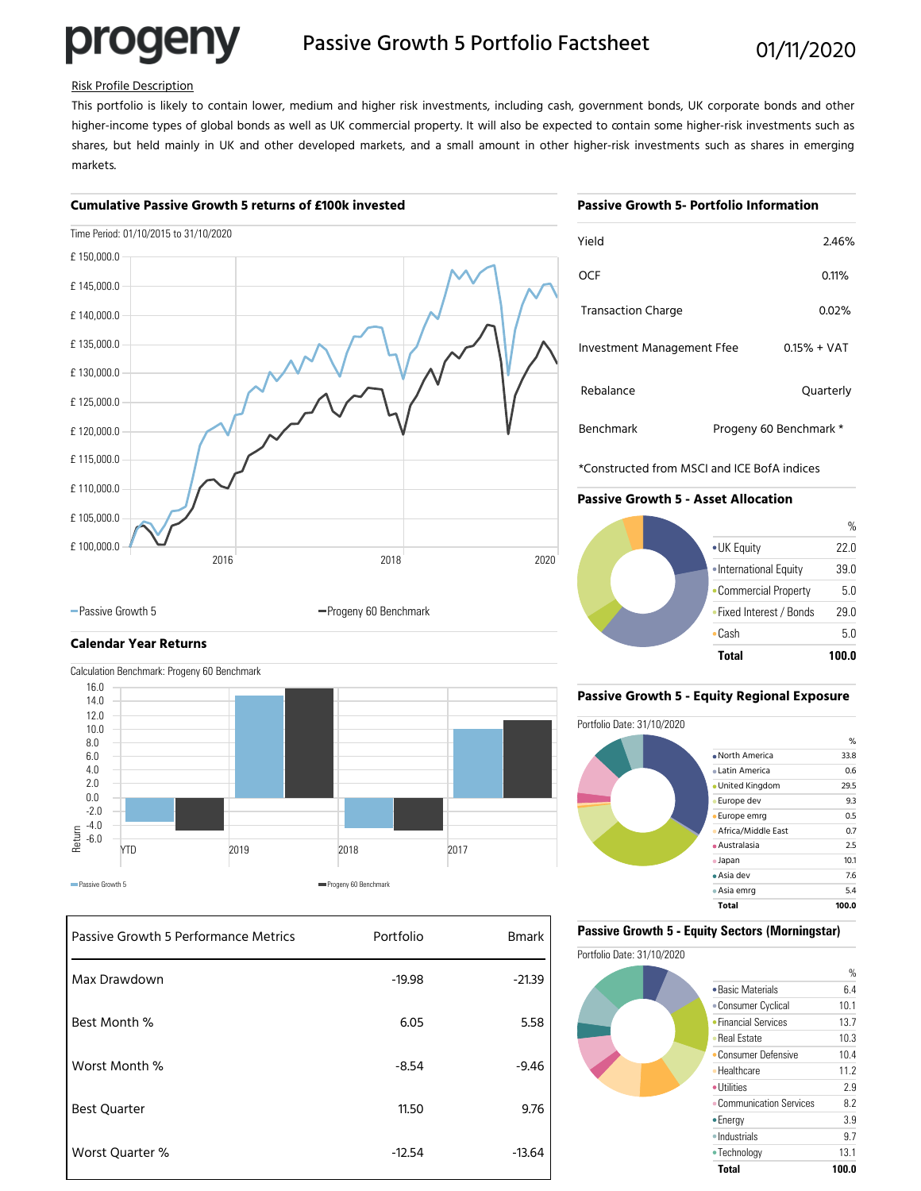# progeny

## Passive Growth 5 Portfolio Factsheet 01/11/2020

#### Risk Profile Description

This portfolio is likely to contain lower, medium and higher risk investments, including cash, government bonds, UK corporate bonds and other higher-income types of global bonds as well as UK commercial property. It will also be expected to contain some higher-risk investments such as shares, but held mainly in UK and other developed markets, and a small amount in other higher-risk investments such as shares in emerging markets.

#### **Cumulative Passive Growth 5 returns of £100k invested**

#### **Passive Growth 5- Portfolio Information**

|            | Time Period: 01/10/2015 to 31/10/2020 |      |      |
|------------|---------------------------------------|------|------|
| £150,000.0 |                                       |      |      |
| £145,000.0 |                                       |      |      |
| £140,000.0 |                                       |      |      |
| £135,000.0 |                                       |      |      |
| £130,000.0 |                                       |      |      |
| £125,000.0 |                                       |      |      |
| £120,000.0 |                                       |      |      |
| £115,000.0 |                                       |      |      |
| £110,000.0 |                                       |      |      |
| £105,000.0 |                                       |      |      |
| £100,000.0 | 2016                                  | 2018 | 2020 |
|            |                                       |      |      |

| Yield                      |                        | 2.46%         |
|----------------------------|------------------------|---------------|
| OCF                        |                        | 0.11%         |
| <b>Transaction Charge</b>  |                        | 0.02%         |
| Investment Management Ffee |                        | $0.15% + VAT$ |
| Rebalance                  |                        | Quarterly     |
| <b>Benchmark</b>           | Progeny 60 Benchmark * |               |

\*Constructed from MSCI and ICE BofA indices

#### **Passive Growth 5 - Asset Allocation**



### **Calendar Year Returns** Calculation Benchmark: Progeny 60 Benchmark



-Passive Growth 5 Progeny 60 Benchmark

| Passive Growth 5 Performance Metrics | Portfolio | <b>Bmark</b> |
|--------------------------------------|-----------|--------------|
| Max Drawdown                         | $-19.98$  | $-21.39$     |
| Best Month %                         | 6.05      | 5.58         |
| Worst Month %                        | $-8.54$   | $-9.46$      |
| <b>Best Quarter</b>                  | 11.50     | 9.76         |
| Worst Quarter %                      | $-12.54$  | $-13.64$     |

#### **Passive Growth 5 - Equity Regional Exposure**



#### **Passive Growth 5 - Equity Sectors (Morningstar)**